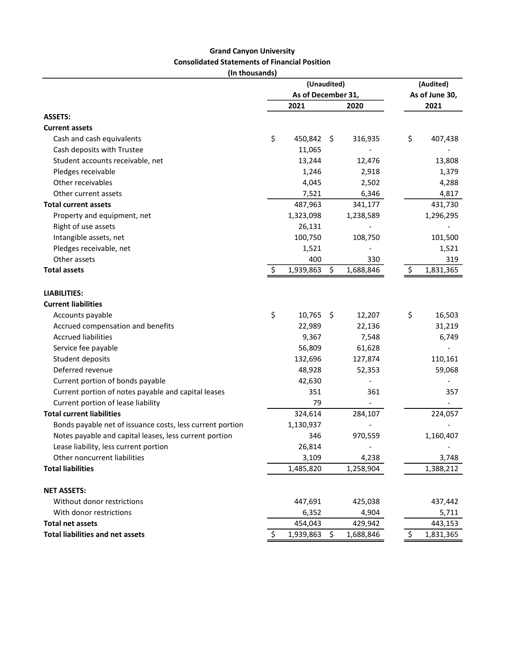## Grand Canyon University Consolidated Statements of Financial Position

(In thousands)

|                                                           | (Unaudited)        |           |     |           |  | (Audited)<br>As of June 30, |           |  |
|-----------------------------------------------------------|--------------------|-----------|-----|-----------|--|-----------------------------|-----------|--|
|                                                           | As of December 31, |           |     |           |  |                             |           |  |
|                                                           |                    | 2021      |     | 2020      |  |                             | 2021      |  |
| <b>ASSETS:</b>                                            |                    |           |     |           |  |                             |           |  |
| <b>Current assets</b>                                     |                    |           |     |           |  |                             |           |  |
| Cash and cash equivalents                                 | \$                 | 450,842   | -\$ | 316,935   |  | \$                          | 407,438   |  |
| Cash deposits with Trustee                                |                    | 11,065    |     |           |  |                             |           |  |
| Student accounts receivable, net                          |                    | 13,244    |     | 12,476    |  |                             | 13,808    |  |
| Pledges receivable                                        |                    | 1,246     |     | 2,918     |  |                             | 1,379     |  |
| Other receivables                                         |                    | 4,045     |     | 2,502     |  |                             | 4,288     |  |
| Other current assets                                      |                    | 7,521     |     | 6,346     |  |                             | 4,817     |  |
| <b>Total current assets</b>                               |                    | 487,963   |     | 341,177   |  |                             | 431,730   |  |
| Property and equipment, net                               |                    | 1,323,098 |     | 1,238,589 |  |                             | 1,296,295 |  |
| Right of use assets                                       |                    | 26,131    |     |           |  |                             |           |  |
| Intangible assets, net                                    |                    | 100,750   |     | 108,750   |  |                             | 101,500   |  |
| Pledges receivable, net                                   |                    | 1,521     |     |           |  |                             | 1,521     |  |
| Other assets                                              |                    | 400       |     | 330       |  |                             | 319       |  |
| <b>Total assets</b>                                       | Ş                  | 1,939,863 | \$  | 1,688,846 |  | Ş                           | 1,831,365 |  |
| <b>LIABILITIES:</b>                                       |                    |           |     |           |  |                             |           |  |
| <b>Current liabilities</b>                                |                    |           |     |           |  |                             |           |  |
| Accounts payable                                          | \$                 | 10,765    | \$  | 12,207    |  | \$                          | 16,503    |  |
| Accrued compensation and benefits                         |                    | 22,989    |     | 22,136    |  |                             | 31,219    |  |
| <b>Accrued liabilities</b>                                |                    | 9,367     |     | 7,548     |  |                             | 6,749     |  |
| Service fee payable                                       |                    | 56,809    |     | 61,628    |  |                             |           |  |
| Student deposits                                          |                    | 132,696   |     | 127,874   |  |                             | 110,161   |  |
| Deferred revenue                                          |                    | 48,928    |     | 52,353    |  |                             | 59,068    |  |
| Current portion of bonds payable                          |                    | 42,630    |     |           |  |                             |           |  |
| Current portion of notes payable and capital leases       |                    | 351       |     | 361       |  |                             | 357       |  |
| Current portion of lease liability                        |                    | 79        |     |           |  |                             |           |  |
| <b>Total current liabilities</b>                          |                    | 324,614   |     | 284,107   |  |                             | 224,057   |  |
| Bonds payable net of issuance costs, less current portion |                    | 1,130,937 |     |           |  |                             |           |  |
| Notes payable and capital leases, less current portion    |                    | 346       |     | 970,559   |  |                             | 1,160,407 |  |
| Lease liability, less current portion                     |                    | 26,814    |     |           |  |                             |           |  |
| Other noncurrent liabilities                              |                    | 3,109     |     | 4,238     |  |                             | 3,748     |  |
| <b>Total liabilities</b>                                  |                    | 1,485,820 |     | 1,258,904 |  |                             | 1,388,212 |  |
| <b>NET ASSETS:</b>                                        |                    |           |     |           |  |                             |           |  |
| Without donor restrictions                                |                    | 447,691   |     | 425,038   |  |                             | 437,442   |  |
| With donor restrictions                                   |                    | 6,352     |     | 4,904     |  |                             | 5,711     |  |
| <b>Total net assets</b>                                   |                    | 454,043   |     | 429,942   |  |                             | 443,153   |  |
| <b>Total liabilities and net assets</b>                   | S                  | 1,939,863 | \$. | 1,688,846 |  | \$                          | 1,831,365 |  |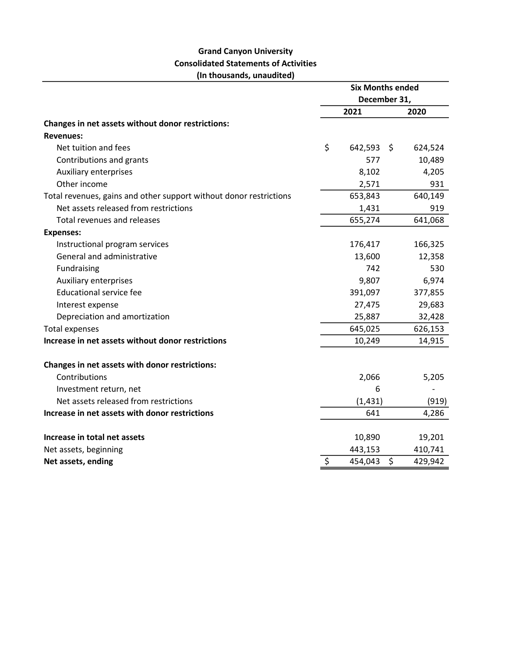## Grand Canyon University Consolidated Statements of Activities (In thousands, unaudited)

|                                                                    | <b>Six Months ended</b><br>December 31, |          |    |         |
|--------------------------------------------------------------------|-----------------------------------------|----------|----|---------|
|                                                                    |                                         |          |    |         |
|                                                                    |                                         | 2021     |    | 2020    |
| Changes in net assets without donor restrictions:                  |                                         |          |    |         |
| <b>Revenues:</b>                                                   |                                         |          |    |         |
| Net tuition and fees                                               | \$                                      | 642,593  | \$ | 624,524 |
| Contributions and grants                                           |                                         | 577      |    | 10,489  |
| <b>Auxiliary enterprises</b>                                       |                                         | 8,102    |    | 4,205   |
| Other income                                                       |                                         | 2,571    |    | 931     |
| Total revenues, gains and other support without donor restrictions |                                         | 653,843  |    | 640,149 |
| Net assets released from restrictions                              |                                         | 1,431    |    | 919     |
| <b>Total revenues and releases</b>                                 |                                         | 655,274  |    | 641,068 |
| <b>Expenses:</b>                                                   |                                         |          |    |         |
| Instructional program services                                     |                                         | 176,417  |    | 166,325 |
| General and administrative                                         |                                         | 13,600   |    | 12,358  |
| <b>Fundraising</b>                                                 |                                         | 742      |    | 530     |
| Auxiliary enterprises                                              |                                         | 9,807    |    | 6,974   |
| <b>Educational service fee</b>                                     |                                         | 391,097  |    | 377,855 |
| Interest expense                                                   |                                         | 27,475   |    | 29,683  |
| Depreciation and amortization                                      |                                         | 25,887   |    | 32,428  |
| <b>Total expenses</b>                                              |                                         | 645,025  |    | 626,153 |
| Increase in net assets without donor restrictions                  |                                         | 10,249   |    | 14,915  |
| Changes in net assets with donor restrictions:                     |                                         |          |    |         |
| Contributions                                                      |                                         | 2,066    |    | 5,205   |
| Investment return, net                                             |                                         | 6        |    |         |
| Net assets released from restrictions                              |                                         | (1, 431) |    | (919)   |
| Increase in net assets with donor restrictions                     |                                         | 641      |    | 4,286   |
| Increase in total net assets                                       |                                         | 10,890   |    | 19,201  |
| Net assets, beginning                                              |                                         | 443,153  |    | 410,741 |
| Net assets, ending                                                 | \$                                      | 454,043  | \$ | 429,942 |